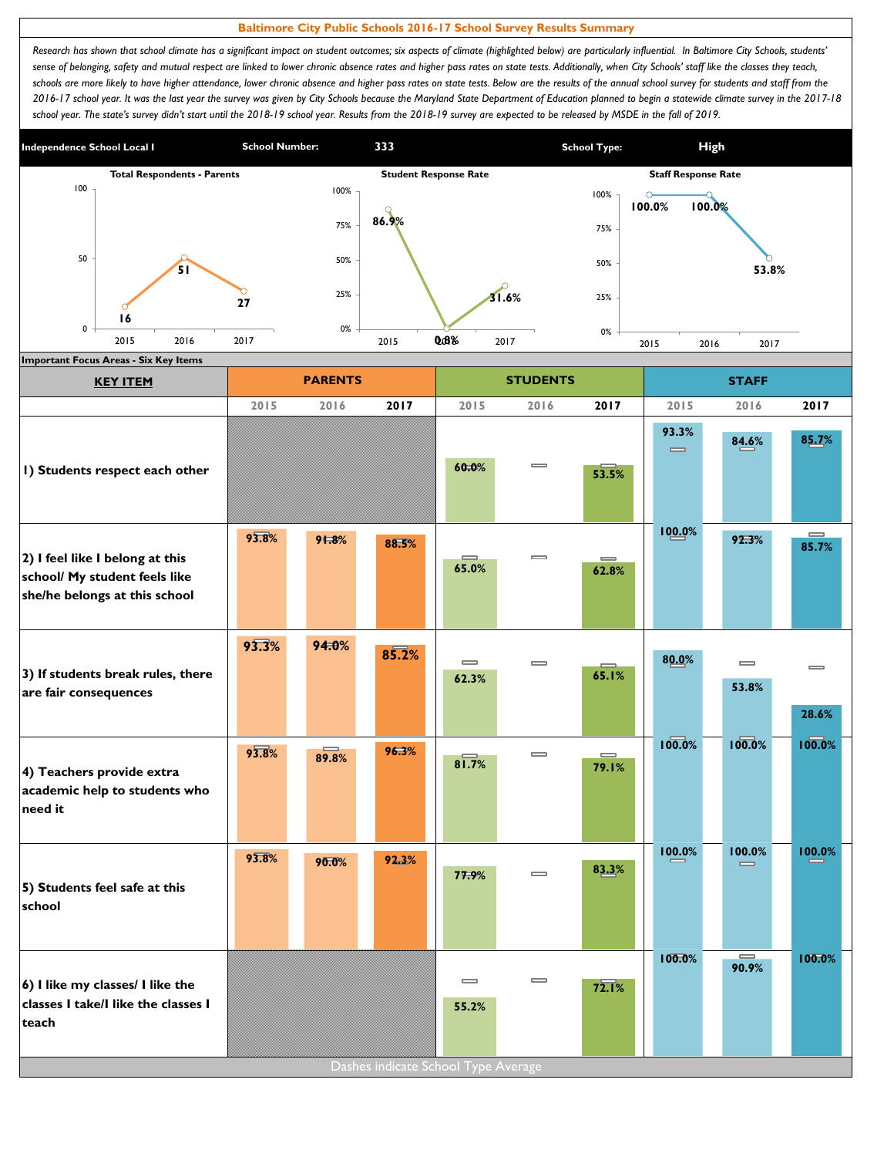## **Baltimore City Public Schools 2016-17 School Survey Results Summary**

Research has shown that school climate has a significant impact on student outcomes; six aspects of climate (highlighted below) are particularly influential. In Baltimore City Schools, students' sense of belonging, safety and mutual respect are linked to lower chronic absence rates and higher pass rates on state tests. Additionally, when City Schools' staff like the classes they teach, schools are more likely to have higher attendance, lower chronic absence and higher pass rates on state tests. Below are the results of the annual school survey for students and staff from the *2016-17 school year. It was the last year the survey was given by City Schools because the Maryland State Department of Education planned to begin a statewide climate survey in the 2017-18*  school year. The state's survey didn't start until the 2018-19 school year. Results from the 2018-19 survey are expected to be released by MSDE in the fall of 2019.



| <b>KEY ITEM</b>                                                                                   |       | <b>PARENTS</b> |                                     |                                       | <b>STUDENTS</b>              |                   | <b>STAFF</b>                          |                    |                   |  |
|---------------------------------------------------------------------------------------------------|-------|----------------|-------------------------------------|---------------------------------------|------------------------------|-------------------|---------------------------------------|--------------------|-------------------|--|
|                                                                                                   | 2015  | 2016           | 2017                                | 2015                                  | 2016                         | 2017              | 2015                                  | 2016               | 2017              |  |
| I) Students respect each other                                                                    |       |                |                                     | 60.0%                                 | $\qquad \qquad \blacksquare$ | 53.5%             | 93.3%<br>$\qquad \qquad \blacksquare$ | 84.6%              | 85.7%             |  |
| 2) I feel like I belong at this<br>school/ My student feels like<br>she/he belongs at this school | 93.8% | 91.8%          | 88.5%                               | 65.0%                                 | $\qquad \qquad \blacksquare$ | $\equiv$<br>62.8% | 100.0%                                | 92.3%              | $=$<br>85.7%      |  |
| 3) If students break rules, there<br>are fair consequences                                        | 93.3% | 94.0%          | 85.2%                               | $\qquad \qquad \blacksquare$<br>62.3% | $\equiv$                     | 65.1%             | 80.0%                                 | $\equiv$<br>53.8%  | $\equiv$<br>28.6% |  |
| 4) Teachers provide extra<br>academic help to students who<br>need it                             | 93.8% | 89.8%          | 96.3%                               | 81.7%                                 | $\qquad \qquad \blacksquare$ | $\equiv$<br>79.1% | 100.0%                                | 100.0%             | 100.0%            |  |
| 5) Students feel safe at this<br>school                                                           | 93.8% | 90.0%          | 92.3%                               | 77.9%                                 | $\overline{\phantom{0}}$     | 83.3%             | 100.0%                                | 100.0%<br>$\equiv$ | 100.0%            |  |
| 6) I like my classes/ I like the<br>classes I take/I like the classes I<br>teach                  |       |                | Dashes indicate School Type Average | $\qquad \qquad \blacksquare$<br>55.2% | $\equiv$                     | 72.1%             | 100.0%                                | $\equiv$<br>90.9%  | 100.0%            |  |